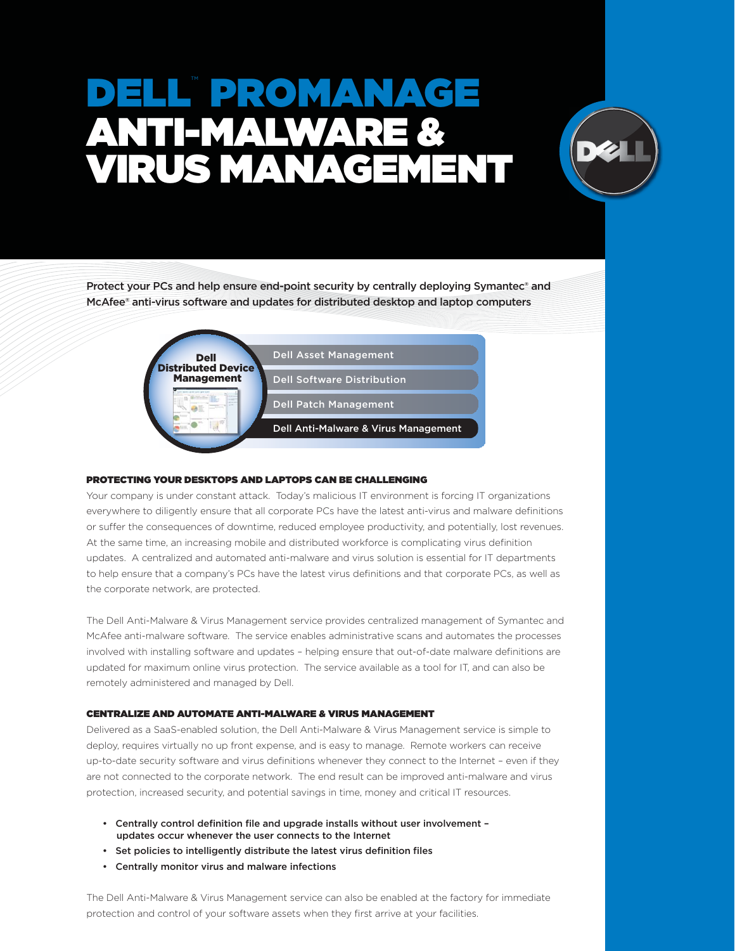# ELL PROMANAGI ANTI-MALWARE & VIRUS MANAGEMENT



Protect your PCs and help ensure end-point security by centrally deploying Symantec® and McAfee® anti-virus software and updates for distributed desktop and laptop computers



# PROTECTING YOUR DESKTOPS AND LAPTOPS CAN BE CHALLENGING

Your company is under constant attack. Today's malicious IT environment is forcing IT organizations everywhere to diligently ensure that all corporate PCs have the latest anti-virus and malware definitions or suffer the consequences of downtime, reduced employee productivity, and potentially, lost revenues. At the same time, an increasing mobile and distributed workforce is complicating virus definition updates. A centralized and automated anti-malware and virus solution is essential for IT departments to help ensure that a company's PCs have the latest virus definitions and that corporate PCs, as well as the corporate network, are protected.

The Dell Anti-Malware & Virus Management service provides centralized management of Symantec and McAfee anti-malware software. The service enables administrative scans and automates the processes involved with installing software and updates - helping ensure that out-of-date malware definitions are updated for maximum online virus protection. The service available as a tool for IT, and can also be remotely administered and managed by Dell.

# CENTRALIZE AND AUTOMATE ANTI-MALWARE & VIRUS MANAGEMENT

Delivered as a SaaS-enabled solution, the Dell Anti-Malware & Virus Management service is simple to deploy, requires virtually no up front expense, and is easy to manage. Remote workers can receive up-to-date security software and virus definitions whenever they connect to the Internet - even if they are not connected to the corporate network. The end result can be improved anti-malware and virus protection, increased security, and potential savings in time, money and critical IT resources.

- Centrally control definition file and upgrade installs without user involvement updates occur whenever the user connects to the Internet
- Set policies to intelligently distribute the latest virus definition files
- Centrally monitor virus and malware infections

The Dell Anti-Malware & Virus Management service can also be enabled at the factory for immediate protection and control of your software assets when they first arrive at your facilities.